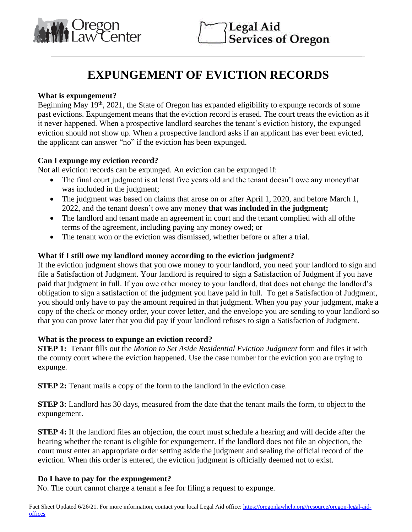

 $\overline{a}$ 

# **EXPUNGEMENT OF EVICTION RECORDS**

#### **What is expungement?**

Beginning May  $19<sup>th</sup>$ , 2021, the State of Oregon has expanded eligibility to expunge records of some past evictions. Expungement means that the eviction record is erased. The court treats the eviction as if it never happened. When a prospective landlord searches the tenant's eviction history, the expunged eviction should not show up. When a prospective landlord asks if an applicant has ever been evicted, the applicant can answer "no" if the eviction has been expunged.

## **Can I expunge my eviction record?**

Not all eviction records can be expunged. An eviction can be expunged if:

- The final court judgment is at least five years old and the tenant doesn't owe any moneythat was included in the judgment;
- The judgment was based on claims that arose on or after April 1, 2020, and before March 1, 2022, and the tenant doesn't owe any money **that was included in the judgment;**
- The landlord and tenant made an agreement in court and the tenant complied with all ofthe terms of the agreement, including paying any money owed; or
- The tenant won or the eviction was dismissed, whether before or after a trial.

#### **What if I still owe my landlord money according to the eviction judgment?**

If the eviction judgment shows that you owe money to your landlord, you need your landlord to sign and file a Satisfaction of Judgment. Your landlord is required to sign a Satisfaction of Judgment if you have paid that judgment in full. If you owe other money to your landlord, that does not change the landlord's obligation to sign a satisfaction of the judgment you have paid in full. To get a Satisfaction of Judgment, you should only have to pay the amount required in that judgment. When you pay your judgment, make a copy of the check or money order, your cover letter, and the envelope you are sending to your landlord so that you can prove later that you did pay if your landlord refuses to sign a Satisfaction of Judgment.

#### **What is the process to expunge an eviction record?**

**STEP 1:** Tenant fills out the *Motion to Set Aside Residential Eviction Judgment* form and files it with the county court where the eviction happened. Use the case number for the eviction you are trying to expunge.

**STEP 2:** Tenant mails a copy of the form to the landlord in the eviction case.

**STEP 3:** Landlord has 30 days, measured from the date that the tenant mails the form, to object to the expungement.

**STEP 4:** If the landlord files an objection, the court must schedule a hearing and will decide after the hearing whether the tenant is eligible for expungement. If the landlord does not file an objection, the court must enter an appropriate order setting aside the judgment and sealing the official record of the eviction. When this order is entered, the eviction judgment is officially deemed not to exist.

## **Do I have to pay for the expungement?**

No. The court cannot charge a tenant a fee for filing a request to expunge.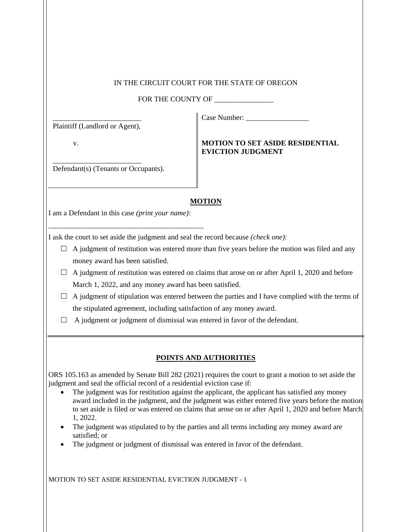#### IN THE CIRCUIT COURT FOR THE STATE OF OREGON

FOR THE COUNTY OF \_\_\_\_\_\_\_\_\_\_\_\_\_\_\_\_

\_\_\_\_\_\_\_\_\_\_\_\_\_\_\_\_\_\_\_\_\_\_\_\_ Plaintiff (Landlord or Agent),

\_\_\_\_\_\_\_\_\_\_\_\_\_\_\_\_\_\_\_\_\_\_\_\_

v.

## **MOTION TO SET ASIDE RESIDENTIAL EVICTION JUDGMENT**

Case Number: \_\_\_\_\_\_\_\_\_\_\_\_\_\_\_\_\_

Defendant(s) (Tenants or Occupants).

#### **MOTION**

I am a Defendant in this case *(print your name)*:

\_\_\_\_\_\_\_\_\_\_\_\_\_\_\_\_\_\_\_\_\_\_\_\_\_\_\_\_\_\_\_\_\_\_\_\_\_\_\_\_\_\_

I ask the court to set aside the judgment and seal the record because *(check one)*:

- $\Box$  A judgment of restitution was entered more than five years before the motion was filed and any money award has been satisfied.
- $\Box$  A judgment of restitution was entered on claims that arose on or after April 1, 2020 and before March 1, 2022, and any money award has been satisfied.
- $\Box$  A judgment of stipulation was entered between the parties and I have complied with the terms of the stipulated agreement, including satisfaction of any money award.
- $\Box$  A judgment or judgment of dismissal was entered in favor of the defendant.

## **POINTS AND AUTHORITIES**

ORS 105.163 as amended by Senate Bill 282 (2021) requires the court to grant a motion to set aside the judgment and seal the official record of a residential eviction case if:

- The judgment was for restitution against the applicant, the applicant has satisfied any money award included in the judgment, and the judgment was either entered five years before the motion to set aside is filed or was entered on claims that arose on or after April 1, 2020 and before March 1, 2022.
- The judgment was stipulated to by the parties and all terms including any money award are satisfied; or
- The judgment or judgment of dismissal was entered in favor of the defendant.

MOTION TO SET ASIDE RESIDENTIAL EVICTION JUDGMENT - 1